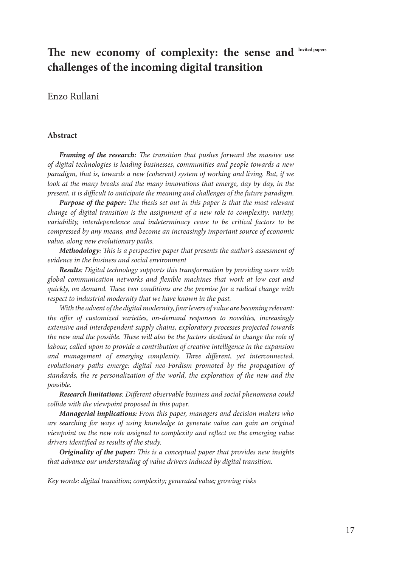# The new economy of complexity: the sense and Invited papers **challenges of the incoming digital transition**

#### Enzo Rullani

#### **Abstract**

*Framing of the research: The transition that pushes forward the massive use of digital technologies is leading businesses, communities and people towards a new paradigm, that is, towards a new (coherent) system of working and living. But, if we look at the many breaks and the many innovations that emerge, day by day, in the present, it is difficult to anticipate the meaning and challenges of the future paradigm.* 

*Purpose of the paper: The thesis set out in this paper is that the most relevant change of digital transition is the assignment of a new role to complexity: variety, variability, interdependence and indeterminacy cease to be critical factors to be compressed by any means, and become an increasingly important source of economic value, along new evolutionary paths.*

*Methodology: This is a perspective paper that presents the author's assessment of evidence in the business and social environment*

*Results: Digital technology supports this transformation by providing users with global communication networks and flexible machines that work at low cost and quickly, on demand. These two conditions are the premise for a radical change with respect to industrial modernity that we have known in the past.* 

*With the advent of the digital modernity, four levers of value are becoming relevant: the offer of customized varieties, on-demand responses to novelties, increasingly extensive and interdependent supply chains, exploratory processes projected towards the new and the possible. These will also be the factors destined to change the role of labour, called upon to provide a contribution of creative intelligence in the expansion and management of emerging complexity. Three different, yet interconnected, evolutionary paths emerge: digital neo-Fordism promoted by the propagation of standards, the re-personalization of the world, the exploration of the new and the possible.*

*Research limitations: Different observable business and social phenomena could collide with the viewpoint proposed in this paper.*

*Managerial implications: From this paper, managers and decision makers who are searching for ways of using knowledge to generate value can gain an original viewpoint on the new role assigned to complexity and reflect on the emerging value drivers identified as results of the study.*

*Originality of the paper: This is a conceptual paper that provides new insights that advance our understanding of value drivers induced by digital transition.*

*Key words: digital transition; complexity; generated value; growing risks*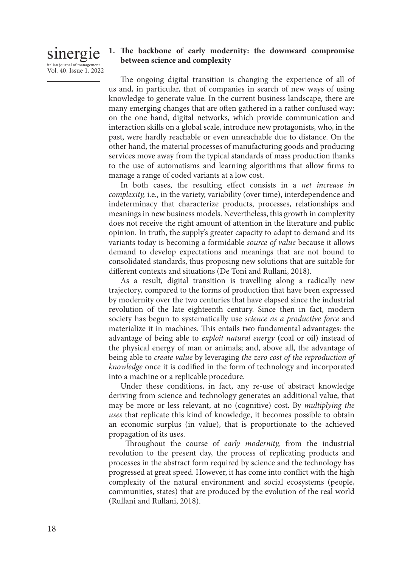### sinergie italian journal of managemen Vol. 40, Issue 1, 2022

### **1. The backbone of early modernity: the downward compromise between science and complexity**

The ongoing digital transition is changing the experience of all of us and, in particular, that of companies in search of new ways of using knowledge to generate value. In the current business landscape, there are many emerging changes that are often gathered in a rather confused way: on the one hand, digital networks, which provide communication and interaction skills on a global scale, introduce new protagonists, who, in the past, were hardly reachable or even unreachable due to distance. On the other hand, the material processes of manufacturing goods and producing services move away from the typical standards of mass production thanks to the use of automatisms and learning algorithms that allow firms to manage a range of coded variants at a low cost.

In both cases, the resulting effect consists in a *net increase in complexity,* i.e., in the variety, variability (over time), interdependence and indeterminacy that characterize products, processes, relationships and meanings in new business models. Nevertheless, this growth in complexity does not receive the right amount of attention in the literature and public opinion. In truth, the supply's greater capacity to adapt to demand and its variants today is becoming a formidable *source of value* because it allows demand to develop expectations and meanings that are not bound to consolidated standards, thus proposing new solutions that are suitable for different contexts and situations (De Toni and Rullani, 2018).

As a result, digital transition is travelling along a radically new trajectory, compared to the forms of production that have been expressed by modernity over the two centuries that have elapsed since the industrial revolution of the late eighteenth century. Since then in fact, modern society has begun to systematically use *science as a productive force* and materialize it in machines. This entails two fundamental advantages: the advantage of being able to *exploit natural energy* (coal or oil) instead of the physical energy of man or animals; and, above all, the advantage of being able to *create value* by leveraging *the zero cost of the reproduction of knowledge* once it is codified in the form of technology and incorporated into a machine or a replicable procedure.

Under these conditions, in fact, any re-use of abstract knowledge deriving from science and technology generates an additional value, that may be more or less relevant, at no (cognitive) cost. By *multiplying the uses* that replicate this kind of knowledge, it becomes possible to obtain an economic surplus (in value), that is proportionate to the achieved propagation of its uses.

 Throughout the course of *early modernity,* from the industrial revolution to the present day, the process of replicating products and processes in the abstract form required by science and the technology has progressed at great speed. However, it has come into conflict with the high complexity of the natural environment and social ecosystems (people, communities, states) that are produced by the evolution of the real world (Rullani and Rullani, 2018).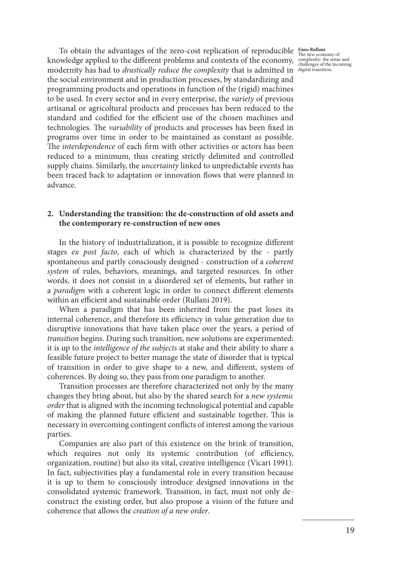To obtain the advantages of the zero-cost replication of reproducible **Enzo Rullani** The new economy of knowledge applied to the different problems and contexts of the economy, complexity: the sense and  $\frac{1}{\text{challenges of the incoming}}$ modernity has had to *drastically reduce the complexity* that is admitted in digital transitionthe social environment and in production processes, by standardizing and programming products and operations in function of the (rigid) machines to be used. In every sector and in every enterprise, the *variety* of previous artisanal or agricoltural products and processes has been reduced to the standard and codified for the efficient use of the chosen machines and technologies. The *variability* of products and processes has been fixed in programs over time in order to be maintained as constant as possible. The *interdependence* of each firm with other activities or actors has been reduced to a minimum, thus creating strictly delimited and controlled supply chains. Similarly, the *uncertainty* linked to unpredictable events has been traced back to adaptation or innovation flows that were planned in advance.

#### **2. Understanding the transition: the de-construction of old assets and the contemporary re-construction of new ones**

In the history of industrialization, it is possible to recognize different stages *ex post facto*, each of which is characterized by the - partly spontaneous and partly consciously designed - construction of a *coherent system* of rules, behaviors, meanings, and targeted resources. In other words, it does not consist in a disordered set of elements, but rather in a *paradigm* with a coherent logic in order to connect different elements within an efficient and sustainable order (Rullani 2019).

When a paradigm that has been inherited from the past loses its internal coherence, and therefore its efficiency in value generation due to disruptive innovations that have taken place over the years, a period of *transition* begins. During such transition, new solutions are experimented: it is up to the *intelligence of the subjects* at stake and their ability to share a feasible future project to better manage the state of disorder that is typical of transition in order to give shape to a new, and different, system of coherences. By doing so, they pass from one paradigm to another.

Transition processes are therefore characterized not only by the many changes they bring about, but also by the shared search for a *new systemic order* that is aligned with the incoming technological potential and capable of making the planned future efficient and sustainable together. This is necessary in overcoming contingent conflicts of interest among the various parties.

Companies are also part of this existence on the brink of transition, which requires not only its systemic contribution (of efficiency, organization, routine) but also its vital, creative intelligence (Vicari 1991). In fact, subjectivities play a fundamental role in every transition because it is up to them to consciously introduce designed innovations in the consolidated systemic framework. Transition, in fact, must not only deconstruct the existing order, but also propose a vision of the future and coherence that allows the *creation of a new order*.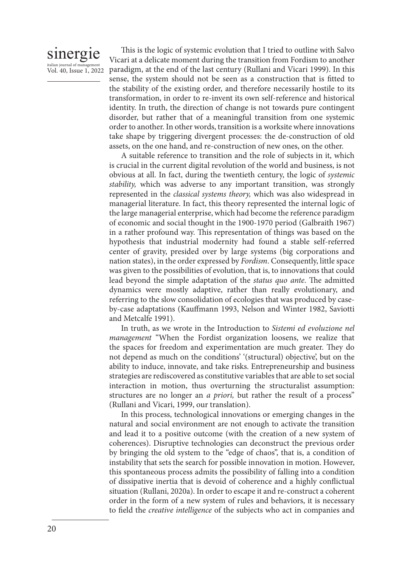### sinergie italian journal of manag Vol. 40, Issue 1, 2022

This is the logic of systemic evolution that I tried to outline with Salvo Vicari at a delicate moment during the transition from Fordism to another paradigm, at the end of the last century (Rullani and Vicari 1999). In this sense, the system should not be seen as a construction that is fitted to the stability of the existing order, and therefore necessarily hostile to its transformation, in order to re-invent its own self-reference and historical identity. In truth, the direction of change is not towards pure contingent disorder, but rather that of a meaningful transition from one systemic order to another. In other words, transition is a worksite where innovations take shape by triggering divergent processes: the de-construction of old assets, on the one hand, and re-construction of new ones, on the other.

A suitable reference to transition and the role of subjects in it, which is crucial in the current digital revolution of the world and business, is not obvious at all. In fact, during the twentieth century, the logic of *systemic stability,* which was adverse to any important transition, was strongly represented in the *classical systems theory,* which was also widespread in managerial literature. In fact, this theory represented the internal logic of the large managerial enterprise, which had become the reference paradigm of economic and social thought in the 1900-1970 period (Galbraith 1967) in a rather profound way. This representation of things was based on the hypothesis that industrial modernity had found a stable self-referred center of gravity, presided over by large systems (big corporations and nation states), in the order expressed by *Fordism*. Consequently, little space was given to the possibilities of evolution, that is, to innovations that could lead beyond the simple adaptation of the *status quo ante*. The admitted dynamics were mostly adaptive, rather than really evolutionary, and referring to the slow consolidation of ecologies that was produced by caseby-case adaptations (Kauffmann 1993, Nelson and Winter 1982, Saviotti and Metcalfe 1991).

In truth, as we wrote in the Introduction to *Sistemi ed evoluzione nel management* "When the Fordist organization loosens, we realize that the spaces for freedom and experimentation are much greater. They do not depend as much on the conditions' '(structural) objective', but on the ability to induce, innovate, and take risks. Entrepreneurship and business strategies are rediscovered as constitutive variables that are able to set social interaction in motion, thus overturning the structuralist assumption: structures are no longer an *a priori,* but rather the result of a process" (Rullani and Vicari, 1999, our translation).

In this process, technological innovations or emerging changes in the natural and social environment are not enough to activate the transition and lead it to a positive outcome (with the creation of a new system of coherences). Disruptive technologies can deconstruct the previous order by bringing the old system to the "edge of chaos", that is, a condition of instability that sets the search for possible innovation in motion. However, this spontaneous process admits the possibility of falling into a condition of dissipative inertia that is devoid of coherence and a highly conflictual situation (Rullani, 2020a). In order to escape it and re-construct a coherent order in the form of a new system of rules and behaviors, it is necessary to field the *creative intelligence* of the subjects who act in companies and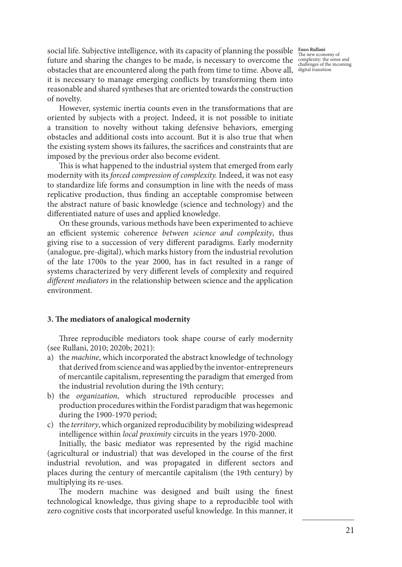social life. Subjective intelligence, with its capacity of planning the possible **Enzo Rullani** The new economy of future and sharing the changes to be made, is necessary to overcome the complexity: the sense and challenges of the incoming obstacles that are encountered along the path from time to time. Above all, digital transitionit is necessary to manage emerging conflicts by transforming them into reasonable and shared syntheses that are oriented towards the construction of novelty.

However, systemic inertia counts even in the transformations that are oriented by subjects with a project. Indeed, it is not possible to initiate a transition to novelty without taking defensive behaviors, emerging obstacles and additional costs into account. But it is also true that when the existing system shows its failures, the sacrifices and constraints that are imposed by the previous order also become evident.

This is what happened to the industrial system that emerged from early modernity with its *forced compression of complexity.* Indeed, it was not easy to standardize life forms and consumption in line with the needs of mass replicative production, thus finding an acceptable compromise between the abstract nature of basic knowledge (science and technology) and the differentiated nature of uses and applied knowledge.

On these grounds, various methods have been experimented to achieve an efficient systemic coherence *between science and complexity*, thus giving rise to a succession of very different paradigms. Early modernity (analogue, pre-digital), which marks history from the industrial revolution of the late 1700s to the year 2000, has in fact resulted in a range of systems characterized by very different levels of complexity and required *different mediators* in the relationship between science and the application environment.

#### **3. The mediators of analogical modernity**

Three reproducible mediators took shape course of early modernity (see Rullani, 2010; 2020b; 2021):

- a) the *machine*, which incorporated the abstract knowledge of technology that derived from science and was applied by the inventor-entrepreneurs of mercantile capitalism, representing the paradigm that emerged from the industrial revolution during the 19th century;
- b) the *organization*, which structured reproducible processes and production procedures within the Fordist paradigm that was hegemonic during the 1900-1970 period;
- c) the *territory*, which organized reproducibility by mobilizing widespread intelligence within *local proximity* circuits in the years 1970-2000.

Initially, the basic mediator was represented by the rigid machine (agricultural or industrial) that was developed in the course of the first industrial revolution, and was propagated in different sectors and places during the century of mercantile capitalism (the 19th century) by multiplying its re-uses.

The modern machine was designed and built using the finest technological knowledge, thus giving shape to a reproducible tool with zero cognitive costs that incorporated useful knowledge. In this manner, it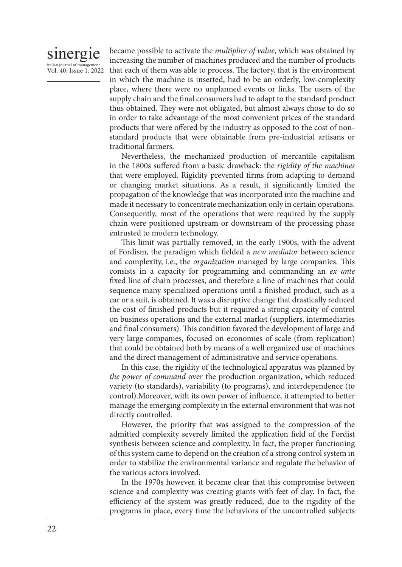

became possible to activate the *multiplier of value*, which was obtained by increasing the number of machines produced and the number of products that each of them was able to process. The factory, that is the environment in which the machine is inserted, had to be an orderly, low-complexity place, where there were no unplanned events or links. The users of the supply chain and the final consumers had to adapt to the standard product thus obtained. They were not obligated, but almost always chose to do so in order to take advantage of the most convenient prices of the standard products that were offered by the industry as opposed to the cost of nonstandard products that were obtainable from pre-industrial artisans or traditional farmers.

Nevertheless, the mechanized production of mercantile capitalism in the 1800s suffered from a basic drawback: the *rigidity of the machines*  that were employed. Rigidity prevented firms from adapting to demand or changing market situations. As a result, it significantly limited the propagation of the knowledge that was incorporated into the machine and made it necessary to concentrate mechanization only in certain operations. Consequently, most of the operations that were required by the supply chain were positioned upstream or downstream of the processing phase entrusted to modern technology.

This limit was partially removed, in the early 1900s, with the advent of Fordism, the paradigm which fielded a *new mediator* between science and complexity, i.e., the *organization* managed by large companies. This consists in a capacity for programming and commanding an *ex ante*  fixed line of chain processes, and therefore a line of machines that could sequence many specialized operations until a finished product, such as a car or a suit, is obtained. It was a disruptive change that drastically reduced the cost of finished products but it required a strong capacity of control on business operations and the external market (suppliers, intermediaries and final consumers). This condition favored the development of large and very large companies, focused on economies of scale (from replication) that could be obtained both by means of a well organized use of machines and the direct management of administrative and service operations.

In this case, the rigidity of the technological apparatus was planned by *the power of command* over the production organization, which reduced variety (to standards), variability (to programs), and interdependence (to control).Moreover, with its own power of influence, it attempted to better manage the emerging complexity in the external environment that was not directly controlled.

However, the priority that was assigned to the compression of the admitted complexity severely limited the application field of the Fordist synthesis between science and complexity. In fact, the proper functioning of this system came to depend on the creation of a strong control system in order to stabilize the environmental variance and regulate the behavior of the various actors involved.

In the 1970s however, it became clear that this compromise between science and complexity was creating giants with feet of clay. In fact, the efficiency of the system was greatly reduced, due to the rigidity of the programs in place, every time the behaviors of the uncontrolled subjects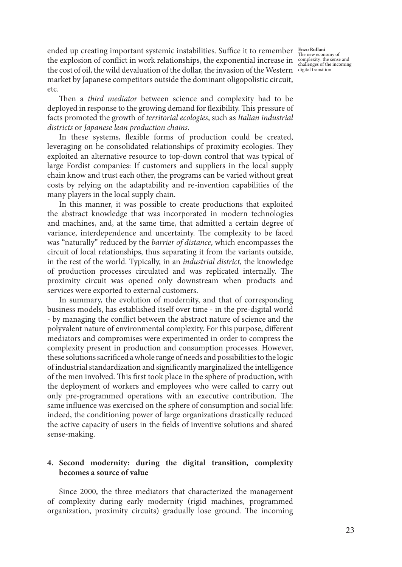ended up creating important systemic instabilities. Suffice it to remember **Enzo Rullani** The new economy of the explosion of conflict in work relationships, the exponential increase in complexity: the sense and challenges of the incoming the cost of oil, the wild devaluation of the dollar, the invasion of the Western digital transitionmarket by Japanese competitors outside the dominant oligopolistic circuit, etc.

Then a *third mediator* between science and complexity had to be deployed in response to the growing demand for flexibility. This pressure of facts promoted the growth of *territorial ecologies*, such as *Italian industrial districts* or *Japanese lean production chains*.

In these systems, flexible forms of production could be created, leveraging on he consolidated relationships of proximity ecologies. They exploited an alternative resource to top-down control that was typical of large Fordist companies: If customers and suppliers in the local supply chain know and trust each other, the programs can be varied without great costs by relying on the adaptability and re-invention capabilities of the many players in the local supply chain.

In this manner, it was possible to create productions that exploited the abstract knowledge that was incorporated in modern technologies and machines, and, at the same time, that admitted a certain degree of variance, interdependence and uncertainty. The complexity to be faced was "naturally" reduced by the *barrier of distance*, which encompasses the circuit of local relationships, thus separating it from the variants outside, in the rest of the world. Typically, in an *industrial district*, the knowledge of production processes circulated and was replicated internally. The proximity circuit was opened only downstream when products and services were exported to external customers.

In summary, the evolution of modernity, and that of corresponding business models, has established itself over time - in the pre-digital world - by managing the conflict between the abstract nature of science and the polyvalent nature of environmental complexity. For this purpose, different mediators and compromises were experimented in order to compress the complexity present in production and consumption processes. However, these solutions sacrificed a whole range of needs and possibilities to the logic of industrial standardization and significantly marginalized the intelligence of the men involved. This first took place in the sphere of production, with the deployment of workers and employees who were called to carry out only pre-programmed operations with an executive contribution. The same influence was exercised on the sphere of consumption and social life: indeed, the conditioning power of large organizations drastically reduced the active capacity of users in the fields of inventive solutions and shared sense-making.

### **4. Second modernity: during the digital transition, complexity becomes a source of value**

Since 2000, the three mediators that characterized the management of complexity during early modernity (rigid machines, programmed organization, proximity circuits) gradually lose ground. The incoming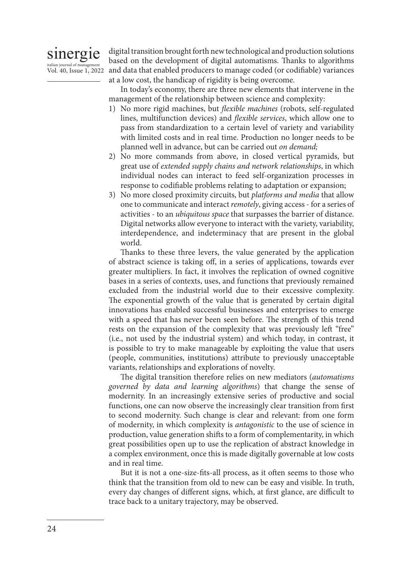

Vol. 40, Issue 1, 2022 and data that enabled producers to manage coded (or codifiable) variances digital transition brought forth new technological and production solutions based on the development of digital automatisms. Thanks to algorithms at a low cost, the handicap of rigidity is being overcome.

> In today's economy, there are three new elements that intervene in the management of the relationship between science and complexity:

- 1) No more rigid machines, but *flexible machines* (robots, self-regulated lines, multifunction devices) and *flexible services*, which allow one to pass from standardization to a certain level of variety and variability with limited costs and in real time. Production no longer needs to be planned well in advance, but can be carried out *on demand;*
- 2) No more commands from above, in closed vertical pyramids, but great use of *extended supply chains and network relationships*, in which individual nodes can interact to feed self-organization processes in response to codifiable problems relating to adaptation or expansion;
- 3) No more closed proximity circuits, but *platforms and media* that allow one to communicate and interact *remotely*, giving access - for a series of activities - to an *ubiquitous space* that surpasses the barrier of distance. Digital networks allow everyone to interact with the variety, variability, interdependence, and indeterminacy that are present in the global world.

Thanks to these three levers, the value generated by the application of abstract science is taking off, in a series of applications, towards ever greater multipliers. In fact, it involves the replication of owned cognitive bases in a series of contexts, uses, and functions that previously remained excluded from the industrial world due to their excessive complexity. The exponential growth of the value that is generated by certain digital innovations has enabled successful businesses and enterprises to emerge with a speed that has never been seen before. The strength of this trend rests on the expansion of the complexity that was previously left "free" (i.e., not used by the industrial system) and which today, in contrast, it is possible to try to make manageable by exploiting the value that users (people, communities, institutions) attribute to previously unacceptable variants, relationships and explorations of novelty.

The digital transition therefore relies on new mediators (*automatisms governed by data and learning algorithms*) that change the sense of modernity. In an increasingly extensive series of productive and social functions, one can now observe the increasingly clear transition from first to second modernity. Such change is clear and relevant: from one form of modernity, in which complexity is *antagonistic* to the use of science in production, value generation shifts to a form of complementarity, in which great possibilities open up to use the replication of abstract knowledge in a complex environment, once this is made digitally governable at low costs and in real time.

But it is not a one-size-fits-all process, as it often seems to those who think that the transition from old to new can be easy and visible. In truth, every day changes of different signs, which, at first glance, are difficult to trace back to a unitary trajectory, may be observed.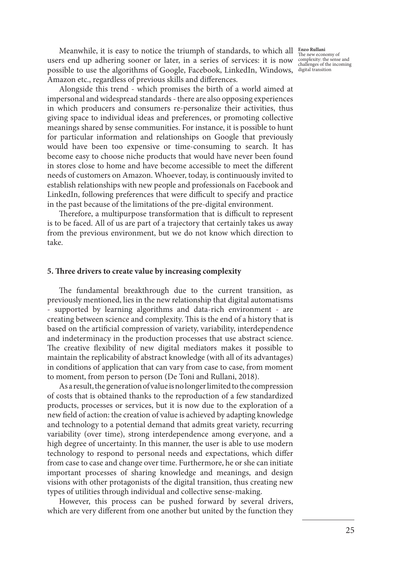Meanwhile, it is easy to notice the triumph of standards, to which all **Enzo Rullani** The new economy of users end up adhering sooner or later, in a series of services: it is now possible to use the algorithms of Google, Facebook, LinkedIn, Windows, digital transitionAmazon etc., regardless of previous skills and differences.

Alongside this trend - which promises the birth of a world aimed at impersonal and widespread standards - there are also opposing experiences in which producers and consumers re-personalize their activities, thus giving space to individual ideas and preferences, or promoting collective meanings shared by sense communities. For instance, it is possible to hunt for particular information and relationships on Google that previously would have been too expensive or time-consuming to search. It has become easy to choose niche products that would have never been found in stores close to home and have become accessible to meet the different needs of customers on Amazon. Whoever, today, is continuously invited to establish relationships with new people and professionals on Facebook and LinkedIn, following preferences that were difficult to specify and practice in the past because of the limitations of the pre-digital environment.

Therefore, a multipurpose transformation that is difficult to represent is to be faced. All of us are part of a trajectory that certainly takes us away from the previous environment, but we do not know which direction to take.

#### **5. Three drivers to create value by increasing complexity**

The fundamental breakthrough due to the current transition, as previously mentioned, lies in the new relationship that digital automatisms - supported by learning algorithms and data-rich environment - are creating between science and complexity. This is the end of a history that is based on the artificial compression of variety, variability, interdependence and indeterminacy in the production processes that use abstract science. The creative flexibility of new digital mediators makes it possible to maintain the replicability of abstract knowledge (with all of its advantages) in conditions of application that can vary from case to case, from moment to moment, from person to person (De Toni and Rullani, 2018).

As a result, the generation of value is no longer limited to the compression of costs that is obtained thanks to the reproduction of a few standardized products, processes or services, but it is now due to the exploration of a new field of action: the creation of value is achieved by adapting knowledge and technology to a potential demand that admits great variety, recurring variability (over time), strong interdependence among everyone, and a high degree of uncertainty. In this manner, the user is able to use modern technology to respond to personal needs and expectations, which differ from case to case and change over time. Furthermore, he or she can initiate important processes of sharing knowledge and meanings, and design visions with other protagonists of the digital transition, thus creating new types of utilities through individual and collective sense-making.

However, this process can be pushed forward by several drivers, which are very different from one another but united by the function they

complexity: the sense and challenges of the incoming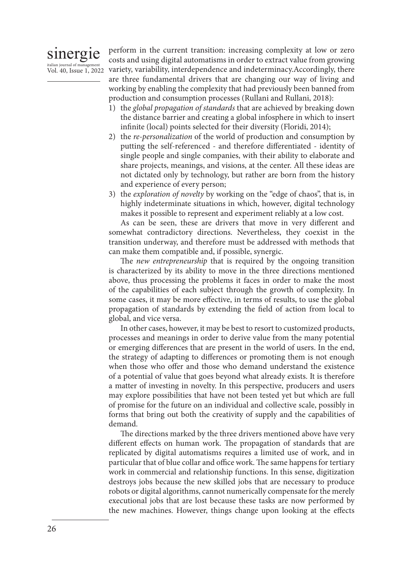### sinergie italian journal of man Vol. 40, Issue 1, 2022

perform in the current transition: increasing complexity at low or zero costs and using digital automatisms in order to extract value from growing variety, variability, interdependence and indeterminacy.Accordingly, there are three fundamental drivers that are changing our way of living and working by enabling the complexity that had previously been banned from production and consumption processes (Rullani and Rullani, 2018):

- 1) the *global propagation of standards* that are achieved by breaking down the distance barrier and creating a global infosphere in which to insert infinite (local) points selected for their diversity (Floridi, 2014);
- 2) the *re-personalization* of the world of production and consumption by putting the self-referenced - and therefore differentiated - identity of single people and single companies, with their ability to elaborate and share projects, meanings, and visions, at the center. All these ideas are not dictated only by technology, but rather are born from the history and experience of every person;
- 3) the *exploration of novelty* by working on the "edge of chaos", that is, in highly indeterminate situations in which, however, digital technology makes it possible to represent and experiment reliably at a low cost.

As can be seen, these are drivers that move in very different and somewhat contradictory directions. Nevertheless, they coexist in the transition underway, and therefore must be addressed with methods that can make them compatible and, if possible, synergic.

The *new entrepreneurship* that is required by the ongoing transition is characterized by its ability to move in the three directions mentioned above, thus processing the problems it faces in order to make the most of the capabilities of each subject through the growth of complexity. In some cases, it may be more effective, in terms of results, to use the global propagation of standards by extending the field of action from local to global, and vice versa.

In other cases, however, it may be best to resort to customized products, processes and meanings in order to derive value from the many potential or emerging differences that are present in the world of users. In the end, the strategy of adapting to differences or promoting them is not enough when those who offer and those who demand understand the existence of a potential of value that goes beyond what already exists. It is therefore a matter of investing in novelty. In this perspective, producers and users may explore possibilities that have not been tested yet but which are full of promise for the future on an individual and collective scale, possibly in forms that bring out both the creativity of supply and the capabilities of demand.

The directions marked by the three drivers mentioned above have very different effects on human work. The propagation of standards that are replicated by digital automatisms requires a limited use of work, and in particular that of blue collar and office work. The same happens for tertiary work in commercial and relationship functions. In this sense, digitization destroys jobs because the new skilled jobs that are necessary to produce robots or digital algorithms, cannot numerically compensate for the merely executional jobs that are lost because these tasks are now performed by the new machines. However, things change upon looking at the effects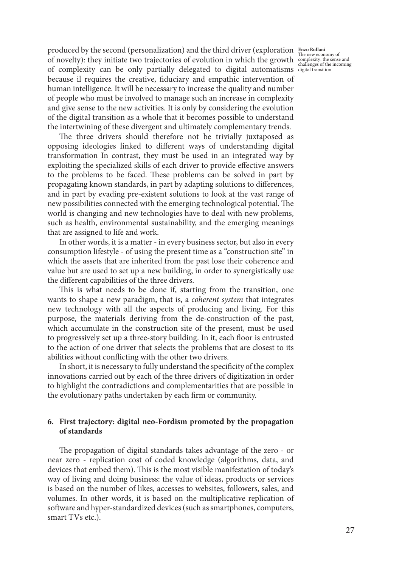produced by the second (personalization) and the third driver (exploration **Enzo Rullani** The new economy of<br>
of novelty): they initiate two trajectories of evolution in which the growth complexity: the sense and<br>
challenges of the incoming of complexity can be only partially delegated to digital automatisms digital transitionbecause il requires the creative, fiduciary and empathic intervention of human intelligence. It will be necessary to increase the quality and number of people who must be involved to manage such an increase in complexity and give sense to the new activities. It is only by considering the evolution of the digital transition as a whole that it becomes possible to understand the intertwining of these divergent and ultimately complementary trends.

The three drivers should therefore not be trivially juxtaposed as opposing ideologies linked to different ways of understanding digital transformation In contrast, they must be used in an integrated way by exploiting the specialized skills of each driver to provide effective answers to the problems to be faced. These problems can be solved in part by propagating known standards, in part by adapting solutions to differences, and in part by evading pre-existent solutions to look at the vast range of new possibilities connected with the emerging technological potential. The world is changing and new technologies have to deal with new problems, such as health, environmental sustainability, and the emerging meanings that are assigned to life and work.

In other words, it is a matter - in every business sector, but also in every consumption lifestyle - of using the present time as a "construction site" in which the assets that are inherited from the past lose their coherence and value but are used to set up a new building, in order to synergistically use the different capabilities of the three drivers.

This is what needs to be done if, starting from the transition, one wants to shape a new paradigm, that is, a *coherent system* that integrates new technology with all the aspects of producing and living. For this purpose, the materials deriving from the de-construction of the past, which accumulate in the construction site of the present, must be used to progressively set up a three-story building. In it, each floor is entrusted to the action of one driver that selects the problems that are closest to its abilities without conflicting with the other two drivers.

In short, it is necessary to fully understand the specificity of the complex innovations carried out by each of the three drivers of digitization in order to highlight the contradictions and complementarities that are possible in the evolutionary paths undertaken by each firm or community.

### **6. First trajectory: digital neo-Fordism promoted by the propagation of standards**

The propagation of digital standards takes advantage of the zero - or near zero - replication cost of coded knowledge (algorithms, data, and devices that embed them). This is the most visible manifestation of today's way of living and doing business: the value of ideas, products or services is based on the number of likes, accesses to websites, followers, sales, and volumes. In other words, it is based on the multiplicative replication of software and hyper-standardized devices (such as smartphones, computers, smart TVs etc.).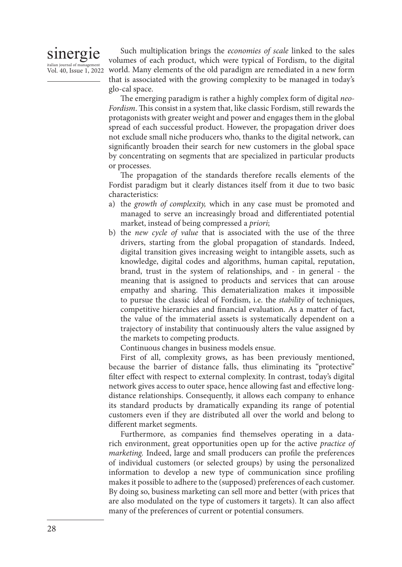## sinergie italian journal of manag

Vol. 40, Issue 1, 2022

Such multiplication brings the *economies of scale* linked to the sales volumes of each product, which were typical of Fordism, to the digital world. Many elements of the old paradigm are remediated in a new form that is associated with the growing complexity to be managed in today's glo-cal space.

The emerging paradigm is rather a highly complex form of digital *neo-Fordism*. This consist in a system that, like classic Fordism, still rewards the protagonists with greater weight and power and engages them in the global spread of each successful product. However, the propagation driver does not exclude small niche producers who, thanks to the digital network, can significantly broaden their search for new customers in the global space by concentrating on segments that are specialized in particular products or processes.

The propagation of the standards therefore recalls elements of the Fordist paradigm but it clearly distances itself from it due to two basic characteristics:

- a) the *growth of complexity,* which in any case must be promoted and managed to serve an increasingly broad and differentiated potential market, instead of being compressed a *priori*;
- b) the *new cycle of value* that is associated with the use of the three drivers, starting from the global propagation of standards. Indeed, digital transition gives increasing weight to intangible assets, such as knowledge, digital codes and algorithms, human capital, reputation, brand, trust in the system of relationships, and - in general - the meaning that is assigned to products and services that can arouse empathy and sharing. This dematerialization makes it impossible to pursue the classic ideal of Fordism, i.e. the *stability* of techniques, competitive hierarchies and financial evaluation. As a matter of fact, the value of the immaterial assets is systematically dependent on a trajectory of instability that continuously alters the value assigned by the markets to competing products.

Continuous changes in business models ensue.

First of all, complexity grows, as has been previously mentioned, because the barrier of distance falls, thus eliminating its "protective" filter effect with respect to external complexity. In contrast, today's digital network gives access to outer space, hence allowing fast and effective longdistance relationships. Consequently, it allows each company to enhance its standard products by dramatically expanding its range of potential customers even if they are distributed all over the world and belong to different market segments.

Furthermore, as companies find themselves operating in a datarich environment, great opportunities open up for the active *practice of marketing.* Indeed, large and small producers can profile the preferences of individual customers (or selected groups) by using the personalized information to develop a new type of communication since profiling makes it possible to adhere to the (supposed) preferences of each customer. By doing so, business marketing can sell more and better (with prices that are also modulated on the type of customers it targets). It can also affect many of the preferences of current or potential consumers.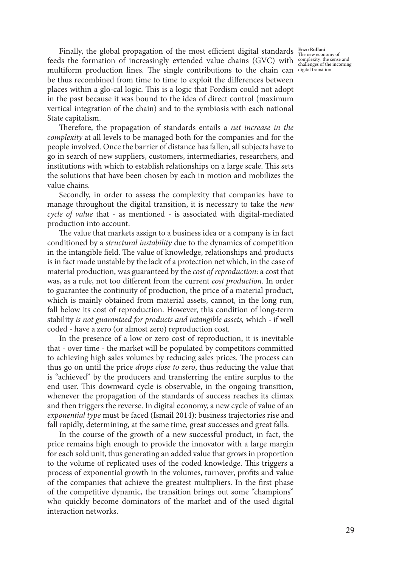Finally, the global propagation of the most efficient digital standards **Enzo Rullani** The new economy of feeds the formation of increasingly extended value chains (GVC) with complexity: the sense and multiform production lines. The single contributions to the chain can digital transitionbe thus recombined from time to time to exploit the differences between places within a glo-cal logic. This is a logic that Fordism could not adopt in the past because it was bound to the idea of direct control (maximum vertical integration of the chain) and to the symbiosis with each national State capitalism.

Therefore, the propagation of standards entails a *net increase in the complexity* at all levels to be managed both for the companies and for the people involved. Once the barrier of distance has fallen, all subjects have to go in search of new suppliers, customers, intermediaries, researchers, and institutions with which to establish relationships on a large scale. This sets the solutions that have been chosen by each in motion and mobilizes the value chains.

Secondly, in order to assess the complexity that companies have to manage throughout the digital transition, it is necessary to take the *new cycle of value* that - as mentioned - is associated with digital-mediated production into account.

The value that markets assign to a business idea or a company is in fact conditioned by a *structural instability* due to the dynamics of competition in the intangible field. The value of knowledge, relationships and products is in fact made unstable by the lack of a protection net which, in the case of material production, was guaranteed by the *cost of reproduction*: a cost that was, as a rule, not too different from the current *cost production*. In order to guarantee the continuity of production, the price of a material product, which is mainly obtained from material assets, cannot, in the long run, fall below its cost of reproduction. However, this condition of long-term stability *is not guaranteed for products and intangible assets,* which - if well coded - have a zero (or almost zero) reproduction cost.

In the presence of a low or zero cost of reproduction, it is inevitable that - over time - the market will be populated by competitors committed to achieving high sales volumes by reducing sales prices. The process can thus go on until the price *drops close to zero*, thus reducing the value that is "achieved" by the producers and transferring the entire surplus to the end user. This downward cycle is observable, in the ongoing transition, whenever the propagation of the standards of success reaches its climax and then triggers the reverse. In digital economy, a new cycle of value of an *exponential type* must be faced (Ismail 2014): business trajectories rise and fall rapidly, determining, at the same time, great successes and great falls.

In the course of the growth of a new successful product, in fact, the price remains high enough to provide the innovator with a large margin for each sold unit, thus generating an added value that grows in proportion to the volume of replicated uses of the coded knowledge. This triggers a process of exponential growth in the volumes, turnover, profits and value of the companies that achieve the greatest multipliers. In the first phase of the competitive dynamic, the transition brings out some "champions" who quickly become dominators of the market and of the used digital interaction networks.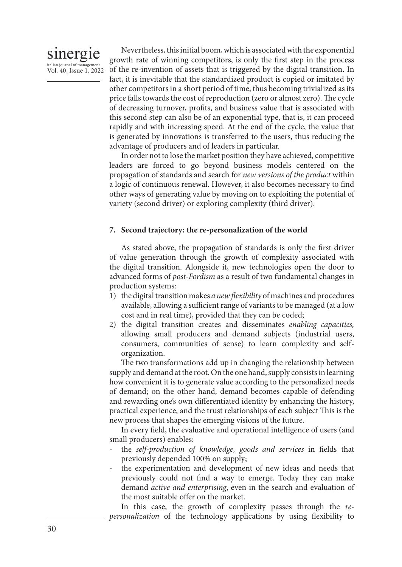

Nevertheless, this initial boom, which is associated with the exponential growth rate of winning competitors, is only the first step in the process of the re-invention of assets that is triggered by the digital transition. In fact, it is inevitable that the standardized product is copied or imitated by other competitors in a short period of time, thus becoming trivialized as its price falls towards the cost of reproduction (zero or almost zero). The cycle of decreasing turnover, profits, and business value that is associated with this second step can also be of an exponential type, that is, it can proceed rapidly and with increasing speed. At the end of the cycle, the value that is generated by innovations is transferred to the users, thus reducing the advantage of producers and of leaders in particular.

In order not to lose the market position they have achieved, competitive leaders are forced to go beyond business models centered on the propagation of standards and search for *new versions of the product* within a logic of continuous renewal. However, it also becomes necessary to find other ways of generating value by moving on to exploiting the potential of variety (second driver) or exploring complexity (third driver).

#### **7. Second trajectory: the re-personalization of the world**

As stated above, the propagation of standards is only the first driver of value generation through the growth of complexity associated with the digital transition. Alongside it, new technologies open the door to advanced forms of *post-Fordism* as a result of two fundamental changes in production systems:

- 1) the digital transition makes *a new flexibility* of machines and procedures available, allowing a sufficient range of variants to be managed (at a low cost and in real time), provided that they can be coded;
- 2) the digital transition creates and disseminates *enabling capacities,*  allowing small producers and demand subjects (industrial users, consumers, communities of sense) to learn complexity and selforganization.

The two transformations add up in changing the relationship between supply and demand at the root. On the one hand, supply consists in learning how convenient it is to generate value according to the personalized needs of demand; on the other hand, demand becomes capable of defending and rewarding one's own differentiated identity by enhancing the history, practical experience, and the trust relationships of each subject This is the new process that shapes the emerging visions of the future.

In every field, the evaluative and operational intelligence of users (and small producers) enables:

- the *self-production of knowledge, goods and services* in fields that previously depended 100% on supply;
- the experimentation and development of new ideas and needs that previously could not find a way to emerge. Today they can make demand *active and enterprising*, even in the search and evaluation of the most suitable offer on the market.

In this case, the growth of complexity passes through the *repersonalization* of the technology applications by using flexibility to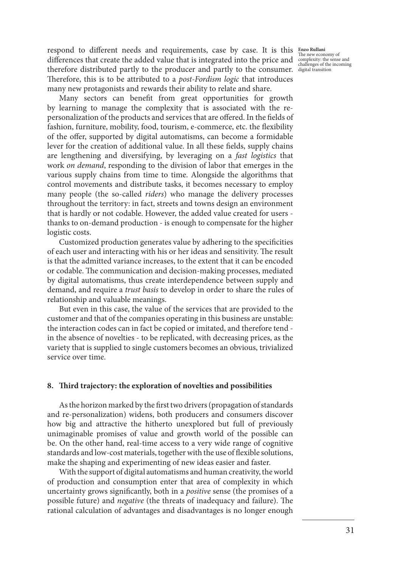respond to different needs and requirements, case by case. It is this **Enzo Rullani** differences that create the added value that is integrated into the price and complexity: the sense and challenges of the incoming therefore distributed partly to the producer and partly to the consumer. digital transitionTherefore, this is to be attributed to a *post-Fordism logic* that introduces many new protagonists and rewards their ability to relate and share.

Many sectors can benefit from great opportunities for growth by learning to manage the complexity that is associated with the repersonalization of the products and services that are offered. In the fields of fashion, furniture, mobility, food, tourism, e-commerce, etc. the flexibility of the offer, supported by digital automatisms, can become a formidable lever for the creation of additional value. In all these fields, supply chains are lengthening and diversifying, by leveraging on a *fast logistics* that work *on demand*, responding to the division of labor that emerges in the various supply chains from time to time. Alongside the algorithms that control movements and distribute tasks, it becomes necessary to employ many people (the so-called *riders*) who manage the delivery processes throughout the territory: in fact, streets and towns design an environment that is hardly or not codable. However, the added value created for users thanks to on-demand production - is enough to compensate for the higher logistic costs.

Customized production generates value by adhering to the specificities of each user and interacting with his or her ideas and sensitivity. The result is that the admitted variance increases, to the extent that it can be encoded or codable. The communication and decision-making processes, mediated by digital automatisms, thus create interdependence between supply and demand, and require a *trust basis* to develop in order to share the rules of relationship and valuable meanings.

But even in this case, the value of the services that are provided to the customer and that of the companies operating in this business are unstable: the interaction codes can in fact be copied or imitated, and therefore tend in the absence of novelties - to be replicated, with decreasing prices, as the variety that is supplied to single customers becomes an obvious, trivialized service over time.

#### **8. Third trajectory: the exploration of novelties and possibilities**

As the horizon marked by the first two drivers (propagation of standards and re-personalization) widens, both producers and consumers discover how big and attractive the hitherto unexplored but full of previously unimaginable promises of value and growth world of the possible can be. On the other hand, real-time access to a very wide range of cognitive standards and low-cost materials, together with the use of flexible solutions, make the shaping and experimenting of new ideas easier and faster.

With the support of digital automatisms and human creativity, the world of production and consumption enter that area of complexity in which uncertainty grows significantly, both in a *positive* sense (the promises of a possible future) and *negative* (the threats of inadequacy and failure). The rational calculation of advantages and disadvantages is no longer enough

The new economy of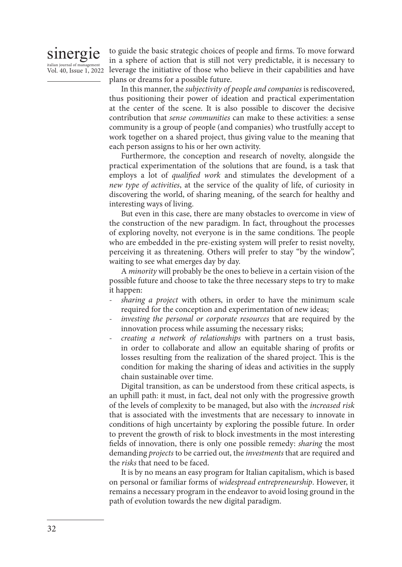# sinergie italian journal of manage Vol. 40, Issue 1, 2022

to guide the basic strategic choices of people and firms. To move forward in a sphere of action that is still not very predictable, it is necessary to leverage the initiative of those who believe in their capabilities and have plans or dreams for a possible future.

In this manner, the *subjectivity of people and companies* is rediscovered, thus positioning their power of ideation and practical experimentation at the center of the scene. It is also possible to discover the decisive contribution that *sense communities* can make to these activities: a sense community is a group of people (and companies) who trustfully accept to work together on a shared project, thus giving value to the meaning that each person assigns to his or her own activity.

Furthermore, the conception and research of novelty, alongside the practical experimentation of the solutions that are found, is a task that employs a lot of *qualified work* and stimulates the development of a *new type of activities*, at the service of the quality of life, of curiosity in discovering the world, of sharing meaning, of the search for healthy and interesting ways of living.

But even in this case, there are many obstacles to overcome in view of the construction of the new paradigm. In fact, throughout the processes of exploring novelty, not everyone is in the same conditions. The people who are embedded in the pre-existing system will prefer to resist novelty, perceiving it as threatening. Others will prefer to stay "by the window", waiting to see what emerges day by day.

A *minority* will probably be the ones to believe in a certain vision of the possible future and choose to take the three necessary steps to try to make it happen:

- *sharing a project* with others, in order to have the minimum scale required for the conception and experimentation of new ideas;
- *investing the personal or corporate resources* that are required by the innovation process while assuming the necessary risks;
- *creating a network of relationships* with partners on a trust basis, in order to collaborate and allow an equitable sharing of profits or losses resulting from the realization of the shared project. This is the condition for making the sharing of ideas and activities in the supply chain sustainable over time.

Digital transition, as can be understood from these critical aspects, is an uphill path: it must, in fact, deal not only with the progressive growth of the levels of complexity to be managed, but also with the *increased risk*  that is associated with the investments that are necessary to innovate in conditions of high uncertainty by exploring the possible future. In order to prevent the growth of risk to block investments in the most interesting fields of innovation, there is only one possible remedy: *sharing* the most demanding *projects* to be carried out, the *investments* that are required and the *risks* that need to be faced.

It is by no means an easy program for Italian capitalism, which is based on personal or familiar forms of *widespread entrepreneurship*. However, it remains a necessary program in the endeavor to avoid losing ground in the path of evolution towards the new digital paradigm.